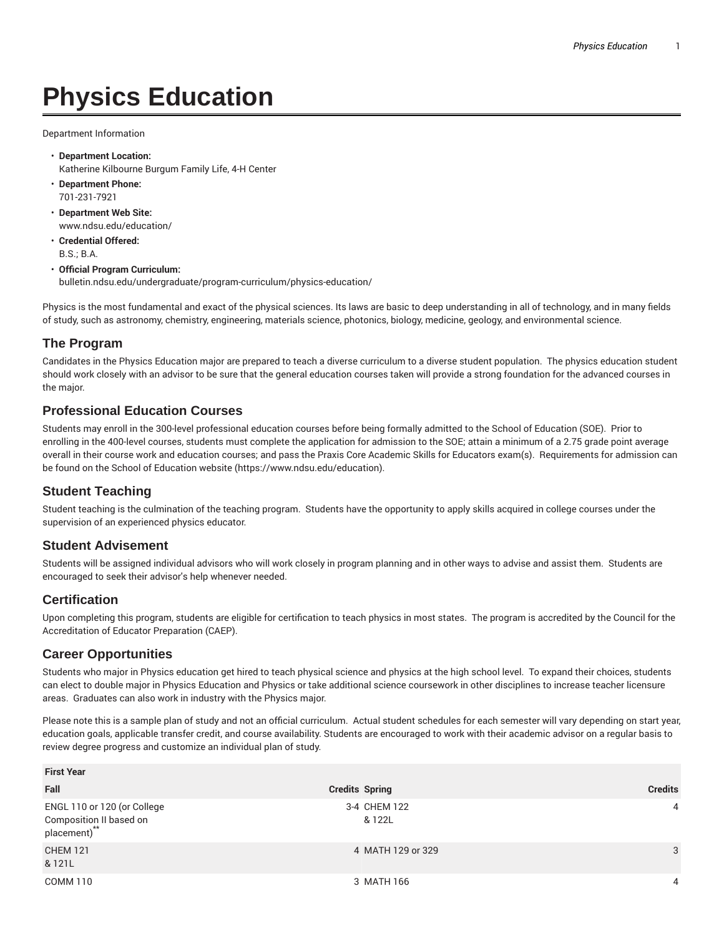# **Physics Education**

Department Information

- **Department Location:** Katherine Kilbourne Burgum Family Life, 4-H Center
- **Department Phone:** 701-231-7921
- **Department Web Site:** www.ndsu.edu/education/
- **Credential Offered:** B.S.; B.A.

#### • **Official Program Curriculum:** bulletin.ndsu.edu/undergraduate/program-curriculum/physics-education/

Physics is the most fundamental and exact of the physical sciences. Its laws are basic to deep understanding in all of technology, and in many fields of study, such as astronomy, chemistry, engineering, materials science, photonics, biology, medicine, geology, and environmental science.

# **The Program**

Candidates in the Physics Education major are prepared to teach a diverse curriculum to a diverse student population. The physics education student should work closely with an advisor to be sure that the general education courses taken will provide a strong foundation for the advanced courses in the major.

# **Professional Education Courses**

Students may enroll in the 300-level professional education courses before being formally admitted to the School of Education (SOE). Prior to enrolling in the 400-level courses, students must complete the application for admission to the SOE; attain a minimum of a 2.75 grade point average overall in their course work and education courses; and pass the Praxis Core Academic Skills for Educators exam(s). Requirements for admission can be found on the School of Education website (https://www.ndsu.edu/education).

# **Student Teaching**

Student teaching is the culmination of the teaching program. Students have the opportunity to apply skills acquired in college courses under the supervision of an experienced physics educator.

#### **Student Advisement**

Students will be assigned individual advisors who will work closely in program planning and in other ways to advise and assist them. Students are encouraged to seek their advisor's help whenever needed.

# **Certification**

Upon completing this program, students are eligible for certification to teach physics in most states. The program is accredited by the Council for the Accreditation of Educator Preparation (CAEP).

#### **Career Opportunities**

Students who major in Physics education get hired to teach physical science and physics at the high school level. To expand their choices, students can elect to double major in Physics Education and Physics or take additional science coursework in other disciplines to increase teacher licensure areas. Graduates can also work in industry with the Physics major.

Please note this is a sample plan of study and not an official curriculum. Actual student schedules for each semester will vary depending on start year, education goals, applicable transfer credit, and course availability. Students are encouraged to work with their academic advisor on a regular basis to review degree progress and customize an individual plan of study.

| <b>First Year</b>                                                      |                        |                |  |  |
|------------------------------------------------------------------------|------------------------|----------------|--|--|
| Fall                                                                   | <b>Credits Spring</b>  | <b>Credits</b> |  |  |
| ENGL 110 or 120 (or College<br>Composition II based on<br>placement)** | 3-4 CHEM 122<br>& 122L | $\overline{4}$ |  |  |
| <b>CHEM 121</b><br>& 121L                                              | 4 MATH 129 or 329      | 3              |  |  |
| COMM 110                                                               | 3 MATH 166             | 4              |  |  |